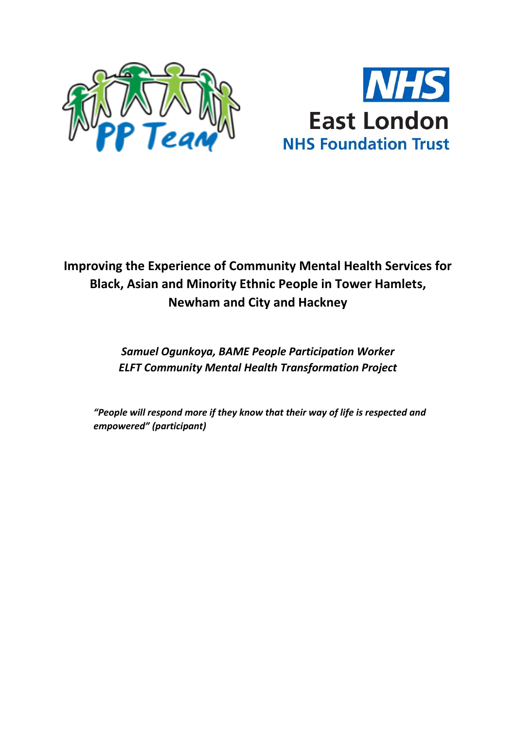



# **Improving the Experience of Community Mental Health Services for Black, Asian and Minority Ethnic People in Tower Hamlets, Newham and City and Hackney**

# *Samuel Ogunkoya, BAME People Participation Worker ELFT Community Mental Health Transformation Project*

*"People will respond more if they know that their way of life is respected and empowered" (participant)*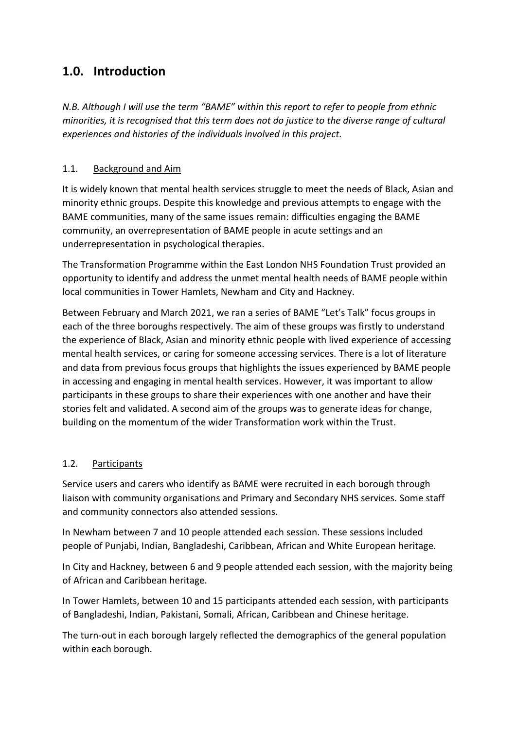# **1.0. Introduction**

*N.B. Although I will use the term "BAME" within this report to refer to people from ethnic minorities, it is recognised that this term does not do justice to the diverse range of cultural experiences and histories of the individuals involved in this project.*

#### 1.1. Background and Aim

It is widely known that mental health services struggle to meet the needs of Black, Asian and minority ethnic groups. Despite this knowledge and previous attempts to engage with the BAME communities, many of the same issues remain: difficulties engaging the BAME community, an overrepresentation of BAME people in acute settings and an underrepresentation in psychological therapies.

The Transformation Programme within the East London NHS Foundation Trust provided an opportunity to identify and address the unmet mental health needs of BAME people within local communities in Tower Hamlets, Newham and City and Hackney.

Between February and March 2021, we ran a series of BAME "Let's Talk" focus groups in each of the three boroughs respectively. The aim of these groups was firstly to understand the experience of Black, Asian and minority ethnic people with lived experience of accessing mental health services, or caring for someone accessing services. There is a lot of literature and data from previous focus groups that highlights the issues experienced by BAME people in accessing and engaging in mental health services. However, it was important to allow participants in these groups to share their experiences with one another and have their stories felt and validated. A second aim of the groups was to generate ideas for change, building on the momentum of the wider Transformation work within the Trust.

#### 1.2. Participants

Service users and carers who identify as BAME were recruited in each borough through liaison with community organisations and Primary and Secondary NHS services. Some staff and community connectors also attended sessions.

In Newham between 7 and 10 people attended each session. These sessions included people of Punjabi, Indian, Bangladeshi, Caribbean, African and White European heritage.

In City and Hackney, between 6 and 9 people attended each session, with the majority being of African and Caribbean heritage.

In Tower Hamlets, between 10 and 15 participants attended each session, with participants of Bangladeshi, Indian, Pakistani, Somali, African, Caribbean and Chinese heritage.

The turn-out in each borough largely reflected the demographics of the general population within each borough.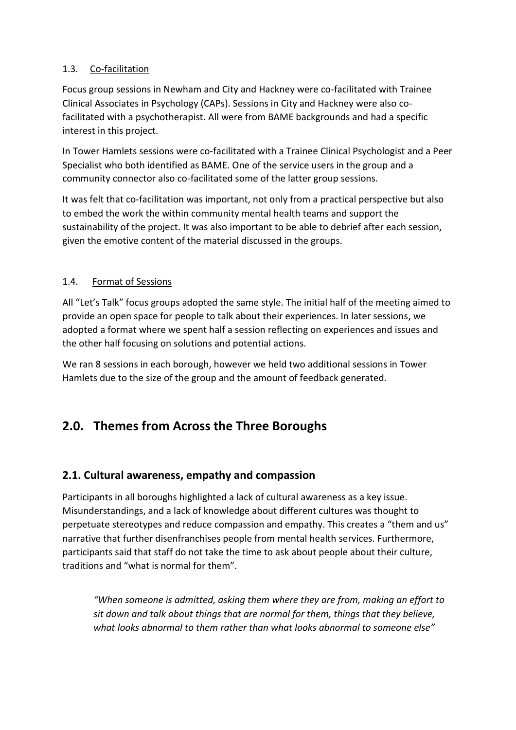#### 1.3. Co-facilitation

Focus group sessions in Newham and City and Hackney were co-facilitated with Trainee Clinical Associates in Psychology (CAPs). Sessions in City and Hackney were also cofacilitated with a psychotherapist. All were from BAME backgrounds and had a specific interest in this project.

In Tower Hamlets sessions were co-facilitated with a Trainee Clinical Psychologist and a Peer Specialist who both identified as BAME. One of the service users in the group and a community connector also co-facilitated some of the latter group sessions.

It was felt that co-facilitation was important, not only from a practical perspective but also to embed the work the within community mental health teams and support the sustainability of the project. It was also important to be able to debrief after each session, given the emotive content of the material discussed in the groups.

#### 1.4. Format of Sessions

All "Let's Talk" focus groups adopted the same style. The initial half of the meeting aimed to provide an open space for people to talk about their experiences. In later sessions, we adopted a format where we spent half a session reflecting on experiences and issues and the other half focusing on solutions and potential actions.

We ran 8 sessions in each borough, however we held two additional sessions in Tower Hamlets due to the size of the group and the amount of feedback generated.

# **2.0. Themes from Across the Three Boroughs**

## **2.1. Cultural awareness, empathy and compassion**

Participants in all boroughs highlighted a lack of cultural awareness as a key issue. Misunderstandings, and a lack of knowledge about different cultures was thought to perpetuate stereotypes and reduce compassion and empathy. This creates a "them and us" narrative that further disenfranchises people from mental health services. Furthermore, participants said that staff do not take the time to ask about people about their culture, traditions and "what is normal for them".

*"When someone is admitted, asking them where they are from, making an effort to sit down and talk about things that are normal for them, things that they believe, what looks abnormal to them rather than what looks abnormal to someone else"*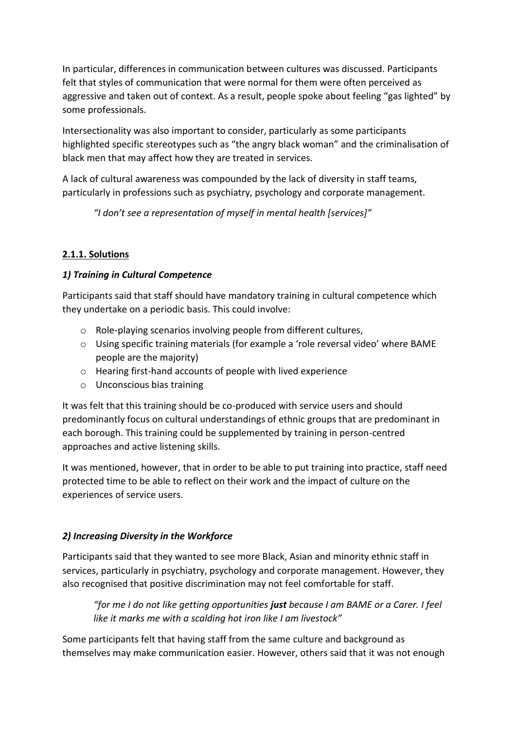In particular, differences in communication between cultures was discussed. Participants felt that styles of communication that were normal for them were often perceived as aggressive and taken out of context. As a result, people spoke about feeling "gas lighted" by some professionals.

Intersectionality was also important to consider, particularly as some participants highlighted specific stereotypes such as "the angry black woman" and the criminalisation of black men that may affect how they are treated in services.

A lack of cultural awareness was compounded by the lack of diversity in staff teams, particularly in professions such as psychiatry, psychology and corporate management.

*"I don't see a representation of myself in mental health [services]"*

## **2.1.1. Solutions**

### *1) Training in Cultural Competence*

Participants said that staff should have mandatory training in cultural competence which they undertake on a periodic basis. This could involve:

- o Role-playing scenarios involving people from different cultures,
- o Using specific training materials (for example a 'role reversal video' where BAME people are the majority)
- o Hearing first-hand accounts of people with lived experience
- o Unconscious bias training

It was felt that this training should be co-produced with service users and should predominantly focus on cultural understandings of ethnic groups that are predominant in each borough. This training could be supplemented by training in person-centred approaches and active listening skills.

It was mentioned, however, that in order to be able to put training into practice, staff need protected time to be able to reflect on their work and the impact of culture on the experiences of service users.

## *2) Increasing Diversity in the Workforce*

Participants said that they wanted to see more Black, Asian and minority ethnic staff in services, particularly in psychiatry, psychology and corporate management. However, they also recognised that positive discrimination may not feel comfortable for staff.

*"for me I do not like getting opportunities just because I am BAME or a Carer. I feel like it marks me with a scalding hot iron like I am livestock"* 

Some participants felt that having staff from the same culture and background as themselves may make communication easier. However, others said that it was not enough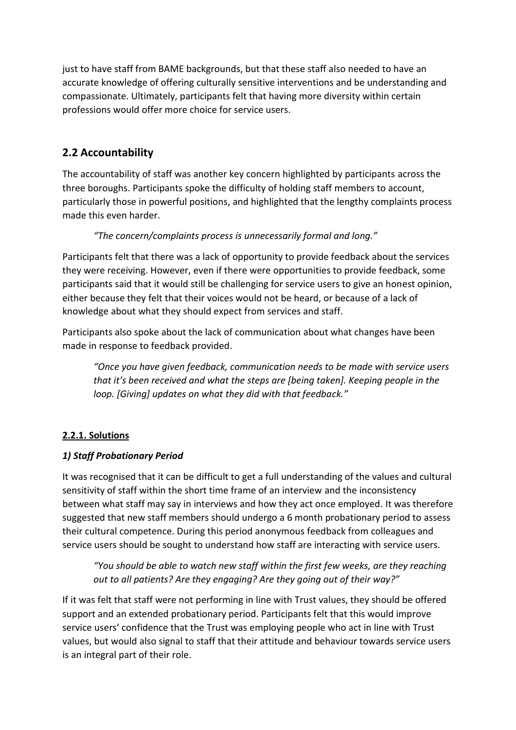just to have staff from BAME backgrounds, but that these staff also needed to have an accurate knowledge of offering culturally sensitive interventions and be understanding and compassionate. Ultimately, participants felt that having more diversity within certain professions would offer more choice for service users.

# **2.2 Accountability**

The accountability of staff was another key concern highlighted by participants across the three boroughs. Participants spoke the difficulty of holding staff members to account, particularly those in powerful positions, and highlighted that the lengthy complaints process made this even harder.

### *"The concern/complaints process is unnecessarily formal and long."*

Participants felt that there was a lack of opportunity to provide feedback about the services they were receiving. However, even if there were opportunities to provide feedback, some participants said that it would still be challenging for service users to give an honest opinion, either because they felt that their voices would not be heard, or because of a lack of knowledge about what they should expect from services and staff.

Participants also spoke about the lack of communication about what changes have been made in response to feedback provided.

*"Once you have given feedback, communication needs to be made with service users that it's been received and what the steps are [being taken]. Keeping people in the loop. [Giving] updates on what they did with that feedback."*

## **2.2.1. Solutions**

#### *1) Staff Probationary Period*

It was recognised that it can be difficult to get a full understanding of the values and cultural sensitivity of staff within the short time frame of an interview and the inconsistency between what staff may say in interviews and how they act once employed. It was therefore suggested that new staff members should undergo a 6 month probationary period to assess their cultural competence. During this period anonymous feedback from colleagues and service users should be sought to understand how staff are interacting with service users.

*"You should be able to watch new staff within the first few weeks, are they reaching out to all patients? Are they engaging? Are they going out of their way?"* 

If it was felt that staff were not performing in line with Trust values, they should be offered support and an extended probationary period. Participants felt that this would improve service users' confidence that the Trust was employing people who act in line with Trust values, but would also signal to staff that their attitude and behaviour towards service users is an integral part of their role.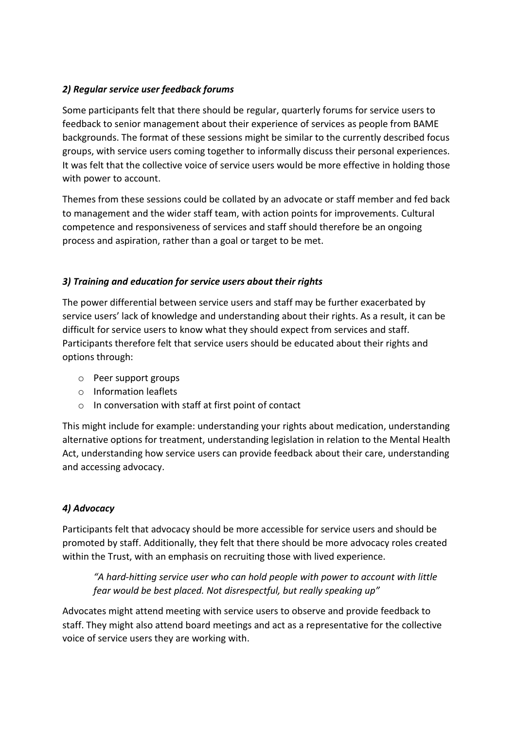#### *2) Regular service user feedback forums*

Some participants felt that there should be regular, quarterly forums for service users to feedback to senior management about their experience of services as people from BAME backgrounds. The format of these sessions might be similar to the currently described focus groups, with service users coming together to informally discuss their personal experiences. It was felt that the collective voice of service users would be more effective in holding those with power to account.

Themes from these sessions could be collated by an advocate or staff member and fed back to management and the wider staff team, with action points for improvements. Cultural competence and responsiveness of services and staff should therefore be an ongoing process and aspiration, rather than a goal or target to be met.

#### *3) Training and education for service users about their rights*

The power differential between service users and staff may be further exacerbated by service users' lack of knowledge and understanding about their rights. As a result, it can be difficult for service users to know what they should expect from services and staff. Participants therefore felt that service users should be educated about their rights and options through:

- o Peer support groups
- o Information leaflets
- o In conversation with staff at first point of contact

This might include for example: understanding your rights about medication, understanding alternative options for treatment, understanding legislation in relation to the Mental Health Act, understanding how service users can provide feedback about their care, understanding and accessing advocacy.

#### *4) Advocacy*

Participants felt that advocacy should be more accessible for service users and should be promoted by staff. Additionally, they felt that there should be more advocacy roles created within the Trust, with an emphasis on recruiting those with lived experience.

*"A hard-hitting service user who can hold people with power to account with little fear would be best placed. Not disrespectful, but really speaking up"* 

Advocates might attend meeting with service users to observe and provide feedback to staff. They might also attend board meetings and act as a representative for the collective voice of service users they are working with.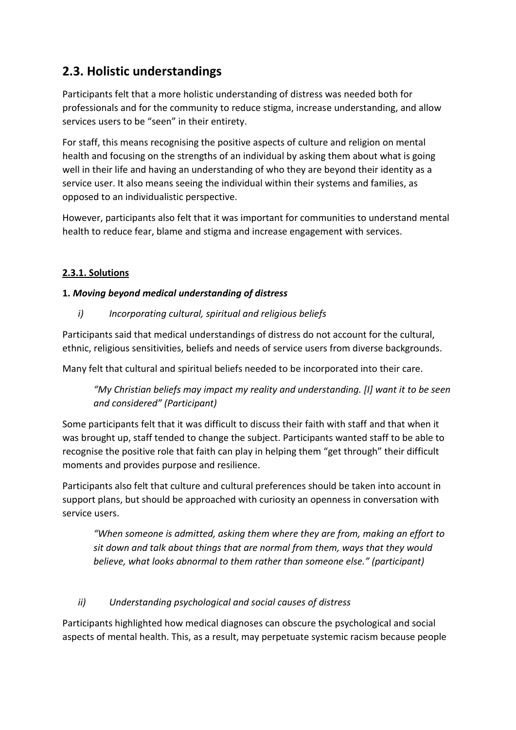# **2.3. Holistic understandings**

Participants felt that a more holistic understanding of distress was needed both for professionals and for the community to reduce stigma, increase understanding, and allow services users to be "seen" in their entirety.

For staff, this means recognising the positive aspects of culture and religion on mental health and focusing on the strengths of an individual by asking them about what is going well in their life and having an understanding of who they are beyond their identity as a service user. It also means seeing the individual within their systems and families, as opposed to an individualistic perspective.

However, participants also felt that it was important for communities to understand mental health to reduce fear, blame and stigma and increase engagement with services.

#### **2.3.1. Solutions**

#### **1.** *Moving beyond medical understanding of distress*

*i) Incorporating cultural, spiritual and religious beliefs*

Participants said that medical understandings of distress do not account for the cultural, ethnic, religious sensitivities, beliefs and needs of service users from diverse backgrounds.

Many felt that cultural and spiritual beliefs needed to be incorporated into their care.

*"My Christian beliefs may impact my reality and understanding. [I] want it to be seen and considered" (Participant)*

Some participants felt that it was difficult to discuss their faith with staff and that when it was brought up, staff tended to change the subject. Participants wanted staff to be able to recognise the positive role that faith can play in helping them "get through" their difficult moments and provides purpose and resilience.

Participants also felt that culture and cultural preferences should be taken into account in support plans, but should be approached with curiosity an openness in conversation with service users.

*"When someone is admitted, asking them where they are from, making an effort to sit down and talk about things that are normal from them, ways that they would believe, what looks abnormal to them rather than someone else." (participant)*

#### *ii) Understanding psychological and social causes of distress*

Participants highlighted how medical diagnoses can obscure the psychological and social aspects of mental health. This, as a result, may perpetuate systemic racism because people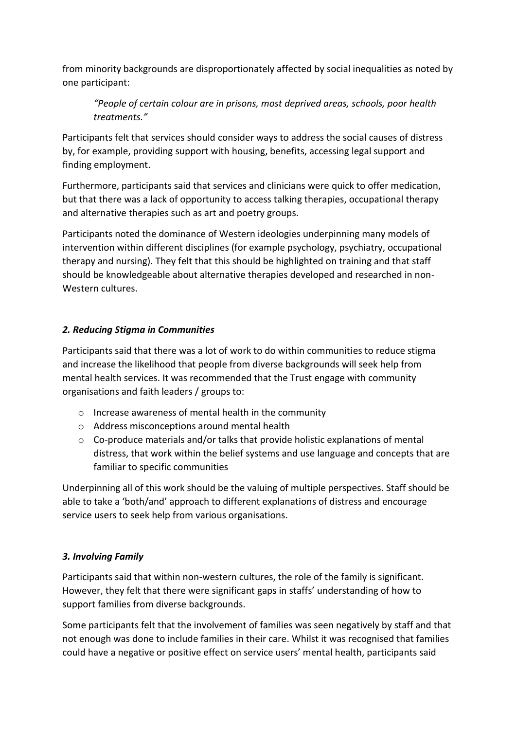from minority backgrounds are disproportionately affected by social inequalities as noted by one participant:

*"People of certain colour are in prisons, most deprived areas, schools, poor health treatments."*

Participants felt that services should consider ways to address the social causes of distress by, for example, providing support with housing, benefits, accessing legal support and finding employment.

Furthermore, participants said that services and clinicians were quick to offer medication, but that there was a lack of opportunity to access talking therapies, occupational therapy and alternative therapies such as art and poetry groups.

Participants noted the dominance of Western ideologies underpinning many models of intervention within different disciplines (for example psychology, psychiatry, occupational therapy and nursing). They felt that this should be highlighted on training and that staff should be knowledgeable about alternative therapies developed and researched in non-Western cultures.

#### *2. Reducing Stigma in Communities*

Participants said that there was a lot of work to do within communities to reduce stigma and increase the likelihood that people from diverse backgrounds will seek help from mental health services. It was recommended that the Trust engage with community organisations and faith leaders / groups to:

- o Increase awareness of mental health in the community
- o Address misconceptions around mental health
- o Co-produce materials and/or talks that provide holistic explanations of mental distress, that work within the belief systems and use language and concepts that are familiar to specific communities

Underpinning all of this work should be the valuing of multiple perspectives. Staff should be able to take a 'both/and' approach to different explanations of distress and encourage service users to seek help from various organisations.

#### *3. Involving Family*

Participants said that within non-western cultures, the role of the family is significant. However, they felt that there were significant gaps in staffs' understanding of how to support families from diverse backgrounds.

Some participants felt that the involvement of families was seen negatively by staff and that not enough was done to include families in their care. Whilst it was recognised that families could have a negative or positive effect on service users' mental health, participants said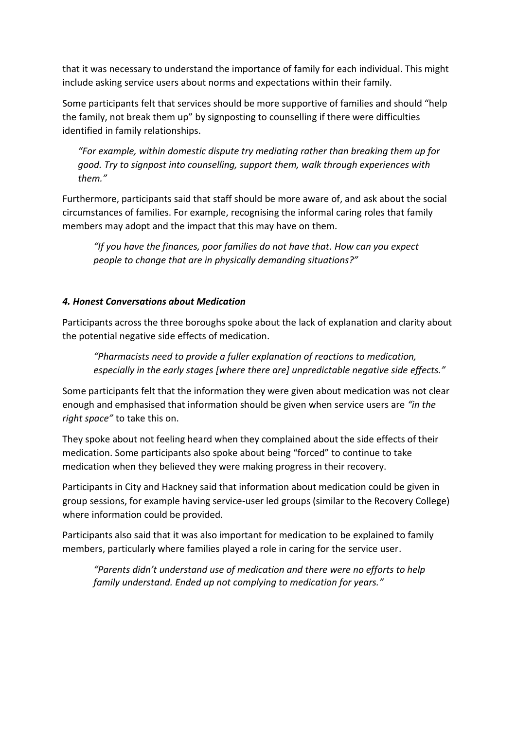that it was necessary to understand the importance of family for each individual. This might include asking service users about norms and expectations within their family.

Some participants felt that services should be more supportive of families and should "help the family, not break them up" by signposting to counselling if there were difficulties identified in family relationships.

*"For example, within domestic dispute try mediating rather than breaking them up for good. Try to signpost into counselling, support them, walk through experiences with them."* 

Furthermore, participants said that staff should be more aware of, and ask about the social circumstances of families. For example, recognising the informal caring roles that family members may adopt and the impact that this may have on them.

*"If you have the finances, poor families do not have that. How can you expect people to change that are in physically demanding situations?"*

#### *4. Honest Conversations about Medication*

Participants across the three boroughs spoke about the lack of explanation and clarity about the potential negative side effects of medication.

*"Pharmacists need to provide a fuller explanation of reactions to medication, especially in the early stages [where there are] unpredictable negative side effects."* 

Some participants felt that the information they were given about medication was not clear enough and emphasised that information should be given when service users are *"in the right space"* to take this on.

They spoke about not feeling heard when they complained about the side effects of their medication. Some participants also spoke about being "forced" to continue to take medication when they believed they were making progress in their recovery.

Participants in City and Hackney said that information about medication could be given in group sessions, for example having service-user led groups (similar to the Recovery College) where information could be provided.

Participants also said that it was also important for medication to be explained to family members, particularly where families played a role in caring for the service user.

*"Parents didn't understand use of medication and there were no efforts to help family understand. Ended up not complying to medication for years."*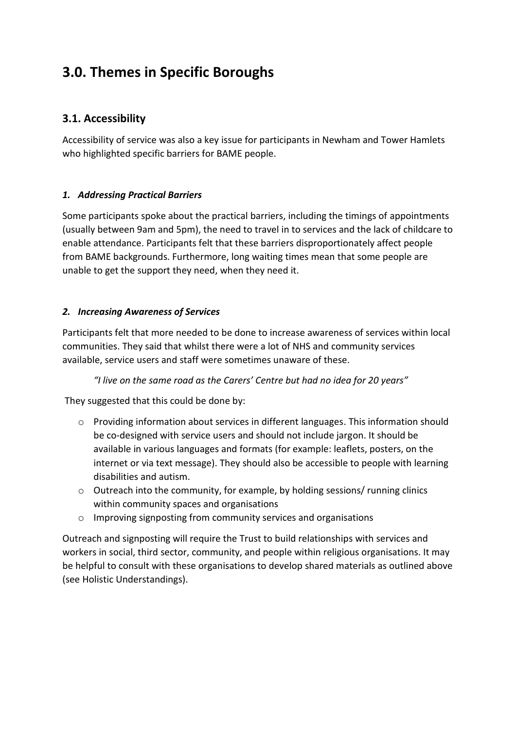# **3.0. Themes in Specific Boroughs**

## **3.1. Accessibility**

Accessibility of service was also a key issue for participants in Newham and Tower Hamlets who highlighted specific barriers for BAME people.

#### *1. Addressing Practical Barriers*

Some participants spoke about the practical barriers, including the timings of appointments (usually between 9am and 5pm), the need to travel in to services and the lack of childcare to enable attendance. Participants felt that these barriers disproportionately affect people from BAME backgrounds. Furthermore, long waiting times mean that some people are unable to get the support they need, when they need it.

#### *2. Increasing Awareness of Services*

Participants felt that more needed to be done to increase awareness of services within local communities. They said that whilst there were a lot of NHS and community services available, service users and staff were sometimes unaware of these.

*"I live on the same road as the Carers' Centre but had no idea for 20 years"*

They suggested that this could be done by:

- o Providing information about services in different languages. This information should be co-designed with service users and should not include jargon. It should be available in various languages and formats (for example: leaflets, posters, on the internet or via text message). They should also be accessible to people with learning disabilities and autism.
- o Outreach into the community, for example, by holding sessions/ running clinics within community spaces and organisations
- o Improving signposting from community services and organisations

Outreach and signposting will require the Trust to build relationships with services and workers in social, third sector, community, and people within religious organisations. It may be helpful to consult with these organisations to develop shared materials as outlined above (see Holistic Understandings).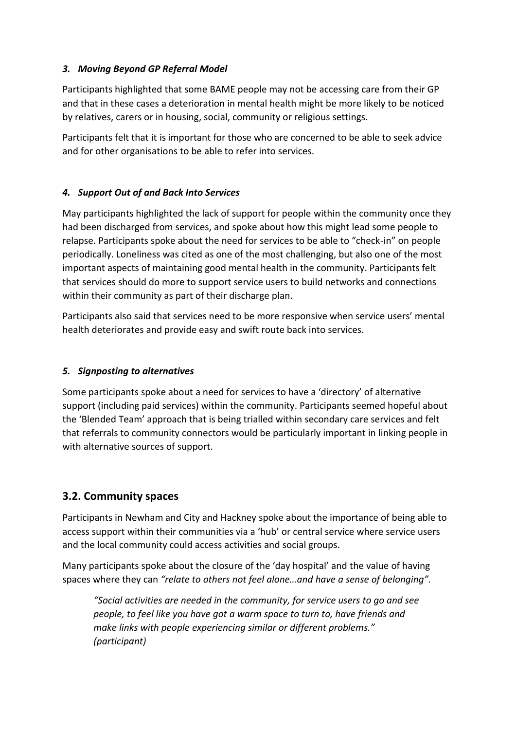#### *3. Moving Beyond GP Referral Model*

Participants highlighted that some BAME people may not be accessing care from their GP and that in these cases a deterioration in mental health might be more likely to be noticed by relatives, carers or in housing, social, community or religious settings.

Participants felt that it is important for those who are concerned to be able to seek advice and for other organisations to be able to refer into services.

#### *4. Support Out of and Back Into Services*

May participants highlighted the lack of support for people within the community once they had been discharged from services, and spoke about how this might lead some people to relapse. Participants spoke about the need for services to be able to "check-in" on people periodically. Loneliness was cited as one of the most challenging, but also one of the most important aspects of maintaining good mental health in the community. Participants felt that services should do more to support service users to build networks and connections within their community as part of their discharge plan.

Participants also said that services need to be more responsive when service users' mental health deteriorates and provide easy and swift route back into services.

#### *5. Signposting to alternatives*

Some participants spoke about a need for services to have a 'directory' of alternative support (including paid services) within the community. Participants seemed hopeful about the 'Blended Team' approach that is being trialled within secondary care services and felt that referrals to community connectors would be particularly important in linking people in with alternative sources of support.

## **3.2. Community spaces**

Participants in Newham and City and Hackney spoke about the importance of being able to access support within their communities via a 'hub' or central service where service users and the local community could access activities and social groups.

Many participants spoke about the closure of the 'day hospital' and the value of having spaces where they can *"relate to others not feel alone…and have a sense of belonging".*

*"Social activities are needed in the community, for service users to go and see people, to feel like you have got a warm space to turn to, have friends and make links with people experiencing similar or different problems." (participant)*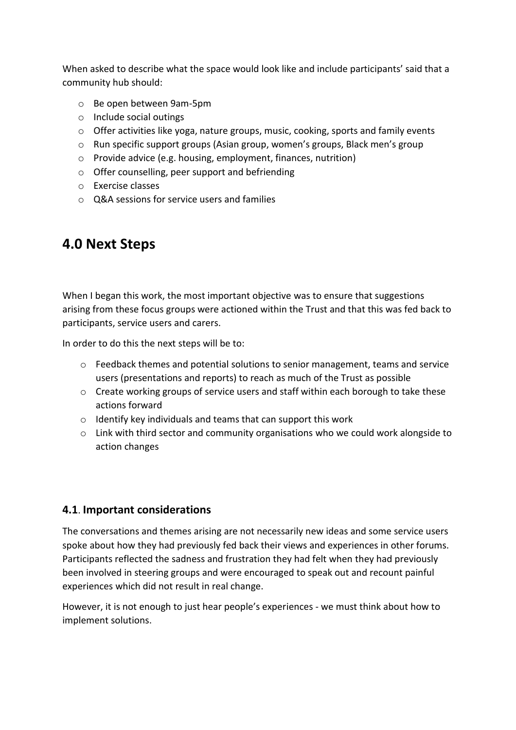When asked to describe what the space would look like and include participants' said that a community hub should:

- o Be open between 9am-5pm
- o Include social outings
- $\circ$  Offer activities like yoga, nature groups, music, cooking, sports and family events
- o Run specific support groups (Asian group, women's groups, Black men's group
- o Provide advice (e.g. housing, employment, finances, nutrition)
- o Offer counselling, peer support and befriending
- o Exercise classes
- o Q&A sessions for service users and families

# **4.0 Next Steps**

When I began this work, the most important objective was to ensure that suggestions arising from these focus groups were actioned within the Trust and that this was fed back to participants, service users and carers.

In order to do this the next steps will be to:

- o Feedback themes and potential solutions to senior management, teams and service users (presentations and reports) to reach as much of the Trust as possible
- $\circ$  Create working groups of service users and staff within each borough to take these actions forward
- o Identify key individuals and teams that can support this work
- $\circ$  Link with third sector and community organisations who we could work alongside to action changes

## **4.1**. **Important considerations**

The conversations and themes arising are not necessarily new ideas and some service users spoke about how they had previously fed back their views and experiences in other forums. Participants reflected the sadness and frustration they had felt when they had previously been involved in steering groups and were encouraged to speak out and recount painful experiences which did not result in real change.

However, it is not enough to just hear people's experiences - we must think about how to implement solutions.